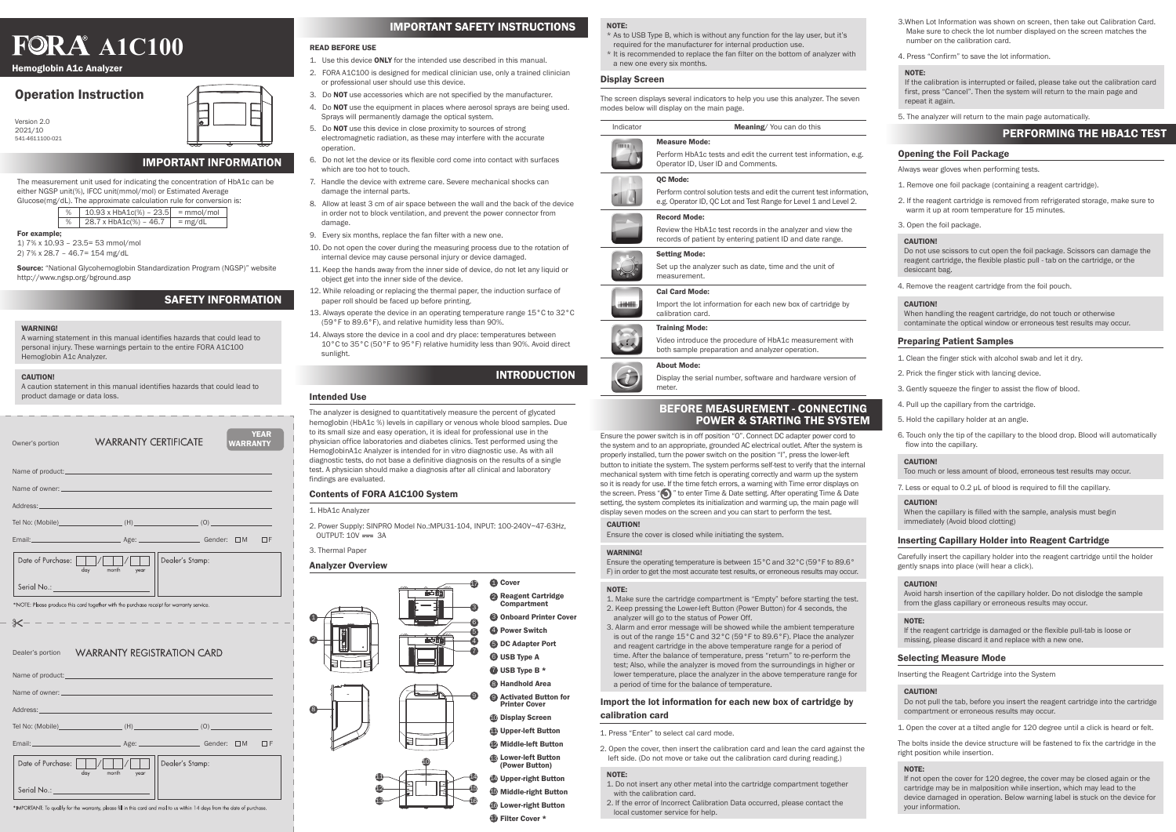## Operation Instruction

#### READ BEFORE USE

- 1. Use this device ONLY for the intended use described in this manual.
- 2. FORA A1C100 is designed for medical clinician use, only a trained clinician or professional user should use this device.
- 3. Do NOT use accessories which are not specified by the manufacturer.
- 4. Do **NOT** use the equipment in places where aerosol sprays are being used. Sprays will permanently damage the optical system.
- 5. Do NOT use this device in close proximity to sources of strong electromagnetic radiation, as these may interfere with the accurate operation.
- 6. Do not let the device or its flexible cord come into contact with surfaces which are too hot to touch.
- 7. Handle the device with extreme care. Severe mechanical shocks can damage the internal parts.
- 8. Allow at least 3 cm of air space between the wall and the back of the device in order not to block ventilation, and prevent the power connector from damage.
- 9. Every six months, replace the fan filter with a new one.
- 10. Do not open the cover during the measuring process due to the rotation of internal device may cause personal injury or device damaged.
- 11. Keep the hands away from the inner side of device, do not let any liquid or object get into the inner side of the device.
- 12. While reloading or replacing the thermal paper, the induction surface of paper roll should be faced up before printing.
- 13. Always operate the device in an operating temperature range 15°C to 32°C (59°F to 89.6°F), and relative humidity less than 90%.
- 14. Always store the device in a cool and dry place: temperatures between 10°C to 35°C (50°F to 95°F) relative humidity less than 90%. Avoid direct sunlight.

The measurement unit used for indicating the concentration of HbA1c can be either NGSP unit(%), IFCC unit(mmol/mol) or Estimated Average<br>Cluesco(ma/dl), The approximate calculation rule for convergion Glucose(mg/dL). The an

| Owner's portion                                                                          | <b>WARRANTY CERTIFICATE</b>                                                         |                 | <b>YEAR</b><br><b>WARRANTY</b> |
|------------------------------------------------------------------------------------------|-------------------------------------------------------------------------------------|-----------------|--------------------------------|
|                                                                                          |                                                                                     |                 |                                |
|                                                                                          |                                                                                     |                 |                                |
|                                                                                          |                                                                                     |                 |                                |
|                                                                                          |                                                                                     |                 | ПF                             |
| Date of Purchase: VIVIII                                                                 | month year<br>day                                                                   | Dealer's Stamp: |                                |
| Serial No.: ____________________                                                         |                                                                                     |                 |                                |
| *NOTE: Please produce this card together with the purchase receipt for warranty service. |                                                                                     |                 |                                |
| $\mathcal{K}-$                                                                           | $\mathcal{L} = \mathcal{L} = \mathcal{L} = \mathcal{L} = \mathcal{L} = \mathcal{L}$ |                 |                                |
| <b>WARRANTY REGISTRATION CARD</b><br>Dealer's portion                                    |                                                                                     |                 |                                |
| Name of product:                                                                         |                                                                                     |                 |                                |

#### Intended Use

The analyzer is designed to quantitatively measure the percent of glycated hemoglobin (HbA1c %) levels in capillary or venous whole blood samples. Due to its small size and easy operation, it is ideal for professional use in the physician office laboratories and diabetes clinics. Test performed using the HemoglobinA1c Analyzer is intended for in vitro diagnostic use. As with all diagnostic tests, do not base a definitive diagnosis on the results of a single test. A physician should make a diagnosis after all clinical and laboratory findings are evaluated.

Version 2.0 2021/10 541-4611100-021



2. Power Supply: SINPRO Model No.:MPU31-104, INPUT: 100-240V~47-63Hz, OUTPUT:  $10V == 3A$ 

3. Thermal Paper

#### For example;

1) 7% x 10.93 – 23.5= 53 mmol/mol 2) 7% x 28.7 – 46.7= 154 mg/dL

Source: "National Glycohemoglobin Standardization Program (NGSP)" website http://www.ngsp.org/bground.asp

## IMPORTANT SAFETY INSTRUCTIONS

## INTRODUCTION

## IMPORTANT INFORMATION

#### Analyzer Overview

| Date of Purchase: VIII/<br>month year | Dealer's Stamp: |                                                                                                                                                                                                                                |                                                                                                                                                                                                                                |
|---------------------------------------|-----------------|--------------------------------------------------------------------------------------------------------------------------------------------------------------------------------------------------------------------------------|--------------------------------------------------------------------------------------------------------------------------------------------------------------------------------------------------------------------------------|
|                                       |                 |                                                                                                                                                                                                                                |                                                                                                                                                                                                                                |
|                                       |                 | Name of owner: and a series of the series of the series of the series of the series of the series of the series of the series of the series of the series of the series of the series of the series of the series of the serie | Address: Note and the contract of the contract of the contract of the contract of the contract of the contract of the contract of the contract of the contract of the contract of the contract of the contract of the contract |

#### \*IMPORTANT: To qualify for the warranty, please fill in this card and mail to us within 14 days from the date of purchase

#### Display Screen

The screen displays several indicators to help you use this analyzer. The seven modes below will display on the main page.

- 1. Remove one foil package (containing a reagent cartridge).
- 2. If the reagent cartridge is removed from refrigerated storage, make sure to warm it up at room temperature for 15 minutes.
- 3. Open the foil package.



### NOTE:

- \* As to USB Type B, which is without any function for the lay user, but it's required for the manufacturer for internal production use. **A1C100 READ BEFORE USE**<br>**AND READ BEFORE USE**<br>A LISE this device ONLY for the intended use described in this manual to replace the fan filter on the bottom of analyzer with 4. Press "Confirm" to save the lot information
	- \* It is recommended to replace the fan filter on the bottom of analyzer with a new one every six months.

## SAFETY INFORMATION

#### WARNING!

| Indicator | <b>Meaning/</b> You can do this                                                                       |
|-----------|-------------------------------------------------------------------------------------------------------|
| THEFTH    | <b>Measure Mode:</b>                                                                                  |
|           | Perform HbA1c tests and edit the current test information, e.g.<br>Operator ID, User ID and Comments. |
|           | <b>OC Mode:</b>                                                                                       |
|           | Perform control solution tests and edit the current test information                                  |

est information. e.g. Operator ID, OC Lot and Test Range for Level 1 and Level 2.

A warning statement in this manual identifies hazards that could lead to personal injury. These warnings pertain to the entire FORA A1C100 Hemoglobin A1c Analyzer.

#### **CAUTION!**

A caution statement in this manual identifies hazards that could lead to product damage or data loss.

#### Contents of FORA A1C100 System

#### 1. HbA1c Analyzer

#### Preparing Patient Samples

- 1. Clean the finger stick with alcohol swab and let it dry.
- 2. Prick the finger stick with lancing device.
- 3. Gently squeeze the finger to assist the flow of blood.
- 4. Pull up the capillary from the cartridge.
- 5. Hold the capillary holder at an angle.
- 6. Touch only the tip of the capillary to the blood drop. Blood will automatically flow into the capillary.

Display the serial number, software and hardware version of meter.

#### Inserting Capillary Holder into Reagent Cartridge

Carefully insert the capillary holder into the reagent cartridge until the holder gently snaps into place (will hear a click).

#### **CAUTION!**

1. Open the cover at a tilted angle for 120 degree until a click is heard or felt.

The bolts inside the device structure will be fastened to fix the cartridge in the right position while insertion.

#### Selecting Measure Mode

Inserting the Reagent Cartridge into the System

#### **CAUTION!**

4. Remove the reagent cartridge from the foil pouch.

#### **CAUTION!**

#### CAUTION!

Do not use scissors to cut open the foil package. Scissors can damage the reagent cartridge, the flexible plastic pull - tab on the cartridge, or the desiccant bag.

When handling the reagent cartridge, do not touch or otherwise contaminate the optical window or erroneous test results may occur.

7. Less or equal to 0.2 μL of blood is required to fill the capillary.

#### **CAUTION!**

#### CAUTION!

Too much or less amount of blood, erroneous test results may occur.

Avoid harsh insertion of the capillary holder. Do not dislodge the sample from the glass capillary or erroneous results may occur.

Do not pull the tab, before you insert the reagent cartridge into the cartridge compartment or erroneous results may occur.

#### NOTE:

If not open the cover for 120 degree, the cover may be closed again or the cartridge may be in malposition while insertion, which may lead to the device damaged in operation. Below warning label is stuck on the device for your information.

#### NOTE:

If the reagent cartridge is damaged or the flexible pull-tab is loose or missing, please discard it and replace with a new one.

When the capillary is filled with the sample, analysis must begin immediately (Avoid blood clotting)

## PERFORMING THE HBA1C TEST

#### Opening the Foil Package

5. The analyzer will return to the main page automatically.

Always wear gloves when performing tests.

|   | ully the apploximate calculation rule for conversion i |           |  |
|---|--------------------------------------------------------|-----------|--|
| % | $10.93 \times \text{HbA1c}$ (%) – 23.5 = mmol/mol      |           |  |
| % | 28.7 x HbA1c(%) - 46.7                                 | $= mg/dL$ |  |

Ensure the power switch is in off position "O". Connect DC adapter power cord to the system and to an appropriate, grounded AC electrical outlet. After the system is properly installed, turn the power switch on the position "I", press the lower-left button to initiate the system. The system performs self-test to verify that the internal mechanical system with time fetch is operating correctly and warm up the system so it is ready for use. If the time fetch errors, a warning with Time error displays on the screen. Press " $\bigodot$ " to enter Time & Date setting. After operating Time & Date setting, the system completes its initialization and warming up, the main page will display seven modes on the screen and you can start to perform the test.

#### **CAUTION!**

- 1. Press "Enter" to select cal card mode.
- 2. Open the cover, then insert the calibration card and lean the card against the left side. (Do not move or take out the calibration card during reading.)

Ensure the cover is closed while initiating the system.

#### **WARNING!**

Ensure the operating temperature is between 15°C and 32°C (59°F to 89.6° F) in order to get the most accurate test results, or erroneous results may occur.

#### NOTE:

- 1. Make sure the cartridge compartment is "Empty" before starting the test. 2. Keep pressing the Lower-left Button (Power Button) for 4 seconds, the analyzer will go to the status of Power Off.
- 3. Alarm and error message will be showed while the ambient temperature is out of the range 15°C and 32°C (59°F to 89.6°F). Place the analyzer and reagent cartridge in the above temperature range for a period of time. After the balance of temperature, press "return" to re-perform the test; Also, while the analyzer is moved from the surroundings in higher or lower temperature, place the analyzer in the above temperature range for a period of time for the balance of temperature.

#### NOTE:

- 1. Do not insert any other metal into the cartridge compartment together with the calibration card.
- 2. If the error of Incorrect Calibration Data occurred, please contact the local customer service for help.



## BEFORE MEASUREMENT - CONNECTING POWER & STARTING THE SYSTEM

#### Import the lot information for each new box of cartridge by calibration card

#### Record Mode:

Review the HbA1c test records in the analyzer and view the records of patient by entering patient ID and date range.



Setting Mode:

Set up the analyzer such as date, time and the unit of measurement.



 $\begin{array}{|c|c|c|c|c|}\hline \textbf{r} & \textbf{r} \end{array}$ 

Video introduce the procedure of HbA1c measurement with

both sample preparation and analyzer operation.



 $\widehat{\bm{d}}$ 

Training Mode: Import the lot information for each new box of cartridge by calibration card.

# Cal Card Mode:

#### About Mode:

#### NOTE:

If the calibration is interrupted or failed, please take out the calibration card first, press "Cancel". Then the system will return to the main page and repeat it again.

- 3.When Lot Information was shown on screen, then take out Calibration Card. Make sure to check the lot number displayed on the screen matches the
- 

Hemoglobin A1c Analyzer